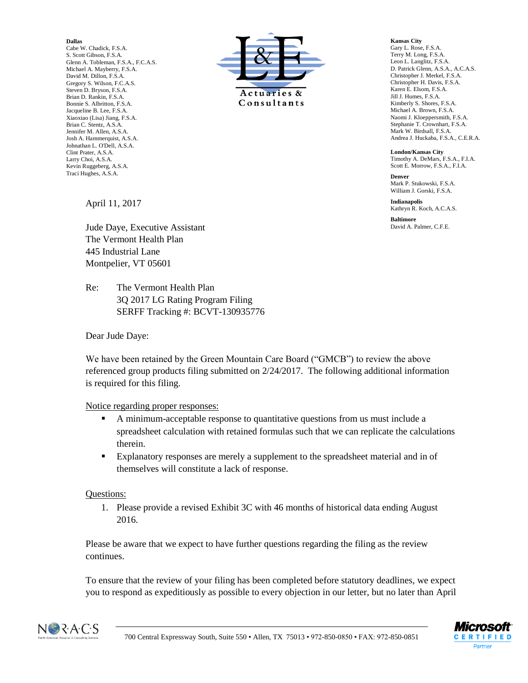## **Dallas**

Cabe W. Chadick, F.S.A. S. Scott Gibson, F.S.A. Glenn A. Tobleman, F.S.A., F.C.A.S. Michael A. Mayberry, F.S.A. David M. Dillon, F.S.A. Gregory S. Wilson, F.C.A.S. Steven D. Bryson, F.S.A. Brian D. Rankin, F.S.A. Bonnie S. Albritton, F.S.A. Jacqueline B. Lee, F.S.A. Xiaoxiao (Lisa) Jiang, F.S.A. Brian C. Stentz, A.S.A. Jennifer M. Allen, A.S.A. Josh A. Hammerquist, A.S.A. Johnathan L. O'Dell, A.S.A. Clint Prater, A.S.A. Larry Choi, A.S.A. Kevin Ruggeberg, A.S.A. Traci Hughes, A.S.A.



**Kansas City** Gary L. Rose, F.S.A. Terry M. Long, F.S.A. Leon L. Langlitz, F.S.A. D. Patrick Glenn, A.S.A., A.C.A.S. Christopher J. Merkel, F.S.A. Christopher H. Davis, F.S.A. Karen E. Elsom, F.S.A. Jill J. Humes, F.S.A. Kimberly S. Shores, F.S.A. Michael A. Brown, F.S.A. Naomi J. Kloeppersmith, F.S.A. Stephanie T. Crownhart, F.S.A. Mark W. Birdsall, F.S.A. Andrea J. Huckaba, F.S.A., C.E.R.A.

**London/Kansas City** Timothy A. DeMars, F.S.A., F.I.A. Scott E. Morrow, F.S.A., F.I.A.

**Denver** Mark P. Stukowski, F.S.A. William J. Gorski, F.S.A.

**Indianapolis** Kathryn R. Koch, A.C.A.S.

**Baltimore** David A. Palmer, C.F.E.

April 11, 2017

Jude Daye, Executive Assistant The Vermont Health Plan 445 Industrial Lane Montpelier, VT 05601

Re: The Vermont Health Plan 3Q 2017 LG Rating Program Filing SERFF Tracking #: BCVT-130935776

Dear Jude Daye:

We have been retained by the Green Mountain Care Board ("GMCB") to review the above referenced group products filing submitted on 2/24/2017. The following additional information is required for this filing.

## Notice regarding proper responses:

- A minimum-acceptable response to quantitative questions from us must include a spreadsheet calculation with retained formulas such that we can replicate the calculations therein.
- Explanatory responses are merely a supplement to the spreadsheet material and in of themselves will constitute a lack of response.

## Questions:

1. Please provide a revised Exhibit 3C with 46 months of historical data ending August 2016.

Please be aware that we expect to have further questions regarding the filing as the review continues.

To ensure that the review of your filing has been completed before statutory deadlines, we expect you to respond as expeditiously as possible to every objection in our letter, but no later than April